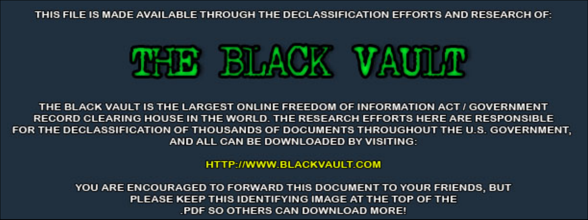THIS FILE IS MADE AVAILABLE THROUGH THE DECLASSIFICATION EFFORTS AND RESEARCH OF:



THE BLACK VAULT IS THE LARGEST ONLINE FREEDOM OF INFORMATION ACT / GOVERNMENT RECORD CLEARING HOUSE IN THE WORLD. THE RESEARCH EFFORTS HERE ARE RESPONSIBLE FOR THE DECLASSIFICATION OF THOUSANDS OF DOCUMENTS THROUGHOUT THE U.S. GOVERNMENT, AND ALL CAN BE DOWNLOADED BY VISITING:

**HTTP://WWW.BLACKVAULT.COM** 

YOU ARE ENCOURAGED TO FORWARD THIS DOCUMENT TO YOUR FRIENDS, BUT PLEASE KEEP THIS IDENTIFYING IMAGE AT THE TOP OF THE PDF SO OTHERS CAN DOWNLOAD MORE!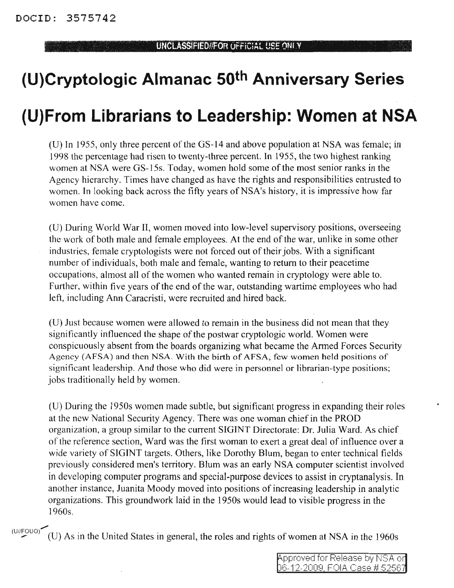, , , >

## **(U)Cryptologic Almanac 50th Anniversary Series**

## **(U)From Librarians to Leadership: Women at NSA**

(U) In 1955, only three percent of the GS-14 and above population at NSA was female; in 1998 the percentage had risen to twenty-three percent. In 1955, the two highest ranking women at NSA were GS-15s. Today, women hold some of the most senior ranks in the Agency hierarchy. Times have changed as have the rights and responsibilities entrusted to women. In looking back across the fifty years of NSA's history, it is impressive how far women have come.

(U) During World War II, women moved into low-level supervisory positions, overseeing the work of both male and female employees. At the end of the war, unlike in some other industries, female cryptologists were not forced out of their jobs. With a significant number of individuals, both male and female, wanting to return to their peacetime occupations, almost all of the women who wanted remain in cryptology were able to. Further, within five years of the end of the war, outstanding wartime employees who had left, including Ann Caracristi, were recruited and hired back.

(U) Just because women were allowed to remain in the business did not mean that they significantly influenced the shape of the postwar cryptologic world. Women were conspicuously absent from the boards organizing what became the Armed Forces Security Agency (AFSA) and then NSA. With the birth of AFSA, few women held positions of significant leadership. And those who did were in personnel or librarian-type positions; jobs traditionally held by women.

(U) During the 1950s women made subtle, but significant progress in expanding their roles at the new National Security Agency. There was one woman chief in the PROD organization, a group similar to the current SIGINT Directorate: Dr. Julia Ward. As chief of the reference section, Ward was the first woman to exert a great deal of influence over a wide variety of SIGINT targets. Others, like Dorothy Blum, began to enter technical fields previously considered men's territory. Blum was an early NSA computer scientist involved in developing computer programs and special-purpose devices to assist in cryptanalysis. In another instance, Juanita Moody moved into positions of increasing leadership in analytic organizations. This groundwork laid in the 1950s would lead to visible progress in the 1960s.

 $(U//FOUO)$ (U) As in the United States in general, the roles and rights of women at NSA in the 1960s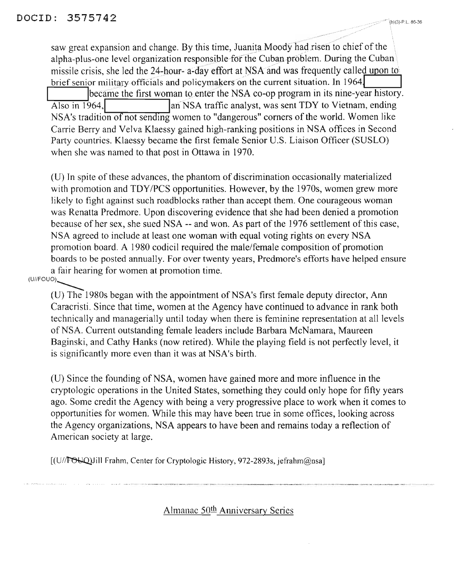saw great expansion and change. By this time, Juanita Moody had risen to chief of the alpha-plus-one level organization responsible for the Cuban problem. During the Cuban missile crisis, she led the  $24$ -hour- a-day effort at NSA and was frequently called upon to brief senior military officials and policymakers on the current situation. In 1964, became the first woman to enter the NSA co-op program in its nine-year history. Also in 1964,1 lariNSA traffic analyst, was sent TDY to Vietnam, ending NSA's tradition of not sending women to "dangerous" corners of the world. Women like Carrie Berry and Velva Klaessy gained high-ranking positions in NSA offices in Second Party countries. Klaessy became the first female Senior U.S. Liaison Officer (SUSLO) when she was named to that post in Ottawa in 1970.

(U) In spite of these advances, the phantom of discrimination occasionally materialized with promotion and *TDY/PCS* opportunities. However, by the 1970s, women grew more likely to fight against such roadblocks rather than accept them. One courageous woman was Renatta Predmore. Upon discovering evidence that she had been denied a promotion because of her sex, she sued NSA -- and won. As part of the 1976 settlement of this case, NSA agreed to include at least one woman with equal voting rights on every NSA promotion board. A 1980 codicil required the male/female composition of promotion boards to be posted annually. For over twenty years, Predmore's efforts have helped ensure a fair hearing for women at promotion time.

## (U//FOUO)~

(U) The 1980s began with the appointment of NSA's first female deputy director, Ann Caracristi. Since that time, women at the Agency have continued to advance in rank both technically and managerially until today when there is feminine representation at all levels of NSA. Current outstanding female leaders include Barbara McNamara, Maureen Baginski, and Cathy Hanks (now retired). While the playing field is not perfectly level, it is significantly more even than it was at NSA's birth.

(U) Since the founding of NSA, women have gained more and more influence in the cryptologic operations in the United States, something they could only hope for fifty years ago. Some credit the Agency with being a very progressive place to work when it comes to opportunities for women. While this may have been true in some offices, looking across the Agency organizations, NSA appears to have been and remains today a reflection of American society at large.

[(U//FOUQ)Jill Frahm, Center for Cryptologic History, 972-2893s, jefrahm@nsa]

Almanac 50<sup>th</sup> Anniversary Series